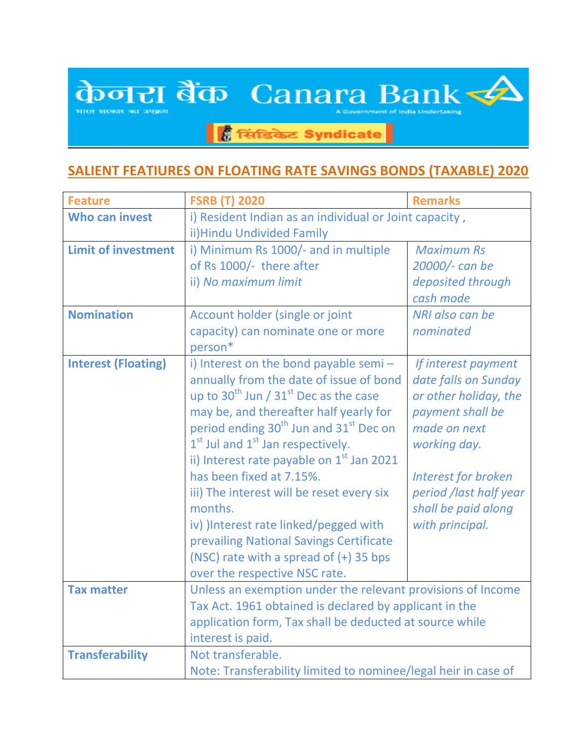## केजरा बैंक Canara Bank

.<br>भारत सर

**हैं सिंडिकेट Syndicate** 

## **SALIENT FEATIURES ON FLOATING RATE SAVINGS BONDS (TAXABLE) 2020**

| <b>Feature</b>             | <b>FSRB (T) 2020</b>                                           | <b>Remarks</b>             |  |
|----------------------------|----------------------------------------------------------------|----------------------------|--|
| <b>Who can invest</b>      | i) Resident Indian as an individual or Joint capacity,         |                            |  |
|                            | ii) Hindu Undivided Family                                     |                            |  |
| <b>Limit of investment</b> | i) Minimum Rs 1000/- and in multiple                           | <b>Maximum Rs</b>          |  |
|                            | of Rs 1000/- there after                                       | 20000/- can be             |  |
|                            | ii) No maximum limit                                           | deposited through          |  |
|                            |                                                                | cash mode                  |  |
| <b>Nomination</b>          | Account holder (single or joint                                | NRI also can be            |  |
|                            | capacity) can nominate one or more                             | nominated                  |  |
|                            | person*                                                        |                            |  |
| <b>Interest (Floating)</b> | i) Interest on the bond payable semi-                          | If interest payment        |  |
|                            | annually from the date of issue of bond                        | date falls on Sunday       |  |
|                            | up to $30^{\text{th}}$ Jun / $31^{\text{st}}$ Dec as the case  | or other holiday, the      |  |
|                            | may be, and thereafter half yearly for                         | payment shall be           |  |
|                            | period ending 30 <sup>th</sup> Jun and 31 <sup>st</sup> Dec on | made on next               |  |
|                            | $1st$ Jul and $1st$ Jan respectively.                          | working day.               |  |
|                            | ii) Interest rate payable on 1 <sup>st</sup> Jan 2021          |                            |  |
|                            | has been fixed at 7.15%.                                       | <b>Interest for broken</b> |  |
|                            | iii) The interest will be reset every six                      | period /last half year     |  |
|                            | months.                                                        | shall be paid along        |  |
|                            | iv) ) Interest rate linked/pegged with                         | with principal.            |  |
|                            | prevailing National Savings Certificate                        |                            |  |
|                            | (NSC) rate with a spread of (+) 35 bps                         |                            |  |
|                            | over the respective NSC rate.                                  |                            |  |
| <b>Tax matter</b>          | Unless an exemption under the relevant provisions of Income    |                            |  |
|                            | Tax Act. 1961 obtained is declared by applicant in the         |                            |  |
|                            | application form, Tax shall be deducted at source while        |                            |  |
|                            | interest is paid.                                              |                            |  |
| <b>Transferability</b>     | Not transferable.                                              |                            |  |
|                            | Note: Transferability limited to nominee/legal heir in case of |                            |  |